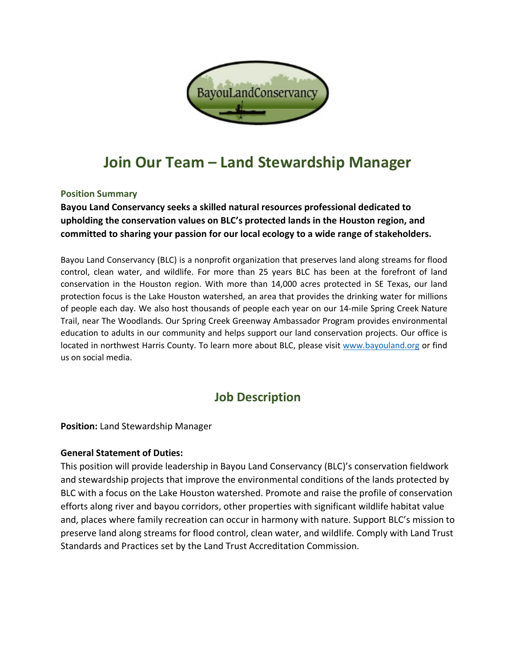

# **Join Our Team – Land Stewardship Manager**

#### **Position Summary**

### **Bayou Land Conservancy seeks a skilled natural resources professional dedicated to upholding the conservation values on BLC's protected lands in the Houston region, and committed to sharing your passion for our local ecology to a wide range of stakeholders.**

Bayou Land Conservancy (BLC) is a nonprofit organization that preserves land along streams for flood control, clean water, and wildlife. For more than 25 years BLC has been at the forefront of land conservation in the Houston region. With more than 14,000 acres protected in SE Texas, our land protection focus is the Lake Houston watershed, an area that provides the drinking water for millions of people each day. We also host thousands of people each year on our 14-mile Spring Creek Nature Trail, near The Woodlands. Our Spring Creek Greenway Ambassador Program provides environmental education to adults in our community and helps support our land conservation projects. Our office is located in northwest Harris County. To learn more about BLC, please visit [www.bayouland.org](http://www.bayouland.org/) or find us on social media.

## **Job Description**

**Position:** Land Stewardship Manager

#### **General Statement of Duties:**

This position will provide leadership in Bayou Land Conservancy (BLC)'s conservation fieldwork and stewardship projects that improve the environmental conditions of the lands protected by BLC with a focus on the Lake Houston watershed. Promote and raise the profile of conservation efforts along river and bayou corridors, other properties with significant wildlife habitat value and, places where family recreation can occur in harmony with nature. Support BLC's mission to preserve land along streams for flood control, clean water, and wildlife. Comply with Land Trust Standards and Practices set by the Land Trust Accreditation Commission.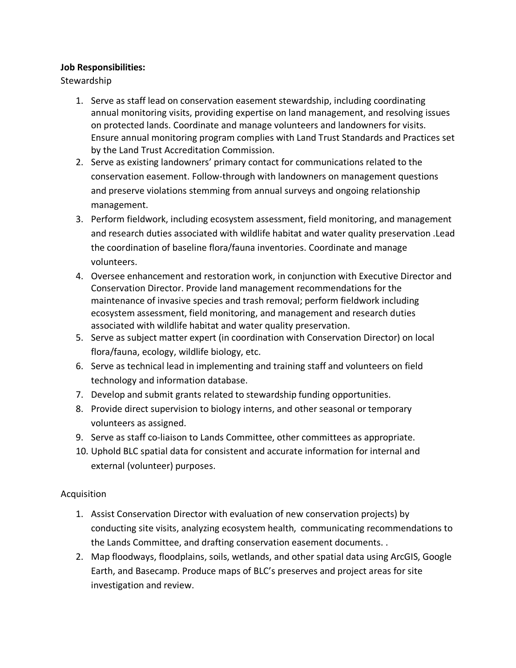#### **Job Responsibilities:**

Stewardship

- 1. Serve as staff lead on conservation easement stewardship, including coordinating annual monitoring visits, providing expertise on land management, and resolving issues on protected lands. Coordinate and manage volunteers and landowners for visits. Ensure annual monitoring program complies with Land Trust Standards and Practices set by the Land Trust Accreditation Commission.
- 2. Serve as existing landowners' primary contact for communications related to the conservation easement. Follow-through with landowners on management questions and preserve violations stemming from annual surveys and ongoing relationship management.
- 3. Perform fieldwork, including ecosystem assessment, field monitoring, and management and research duties associated with wildlife habitat and water quality preservation .Lead the coordination of baseline flora/fauna inventories. Coordinate and manage volunteers.
- 4. Oversee enhancement and restoration work, in conjunction with Executive Director and Conservation Director. Provide land management recommendations for the maintenance of invasive species and trash removal; perform fieldwork including ecosystem assessment, field monitoring, and management and research duties associated with wildlife habitat and water quality preservation.
- 5. Serve as subject matter expert (in coordination with Conservation Director) on local flora/fauna, ecology, wildlife biology, etc.
- 6. Serve as technical lead in implementing and training staff and volunteers on field technology and information database.
- 7. Develop and submit grants related to stewardship funding opportunities.
- 8. Provide direct supervision to biology interns, and other seasonal or temporary volunteers as assigned.
- 9. Serve as staff co-liaison to Lands Committee, other committees as appropriate.
- 10. Uphold BLC spatial data for consistent and accurate information for internal and external (volunteer) purposes.

#### Acquisition

- 1. Assist Conservation Director with evaluation of new conservation projects) by conducting site visits, analyzing ecosystem health, communicating recommendations to the Lands Committee, and drafting conservation easement documents. .
- 2. Map floodways, floodplains, soils, wetlands, and other spatial data using ArcGIS, Google Earth, and Basecamp. Produce maps of BLC's preserves and project areas for site investigation and review.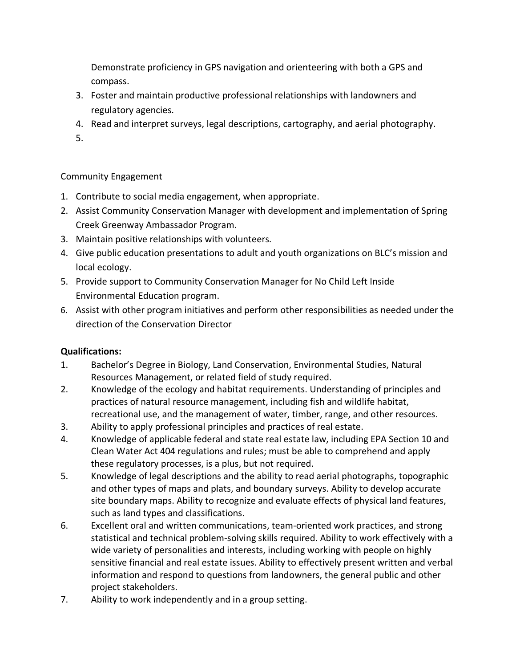Demonstrate proficiency in GPS navigation and orienteering with both a GPS and compass.

- 3. Foster and maintain productive professional relationships with landowners and regulatory agencies.
- 4. Read and interpret surveys, legal descriptions, cartography, and aerial photography.
- 5.

#### Community Engagement

- 1. Contribute to social media engagement, when appropriate.
- 2. Assist Community Conservation Manager with development and implementation of Spring Creek Greenway Ambassador Program.
- 3. Maintain positive relationships with volunteers.
- 4. Give public education presentations to adult and youth organizations on BLC's mission and local ecology.
- 5. Provide support to Community Conservation Manager for No Child Left Inside Environmental Education program.
- 6. Assist with other program initiatives and perform other responsibilities as needed under the direction of the Conservation Director

#### **Qualifications:**

- 1. Bachelor's Degree in Biology, Land Conservation, Environmental Studies, Natural Resources Management, or related field of study required.
- 2. Knowledge of the ecology and habitat requirements. Understanding of principles and practices of natural resource management, including fish and wildlife habitat, recreational use, and the management of water, timber, range, and other resources.
- 3. Ability to apply professional principles and practices of real estate.
- 4. Knowledge of applicable federal and state real estate law, including EPA Section 10 and Clean Water Act 404 regulations and rules; must be able to comprehend and apply these regulatory processes, is a plus, but not required.
- 5. Knowledge of legal descriptions and the ability to read aerial photographs, topographic and other types of maps and plats, and boundary surveys. Ability to develop accurate site boundary maps. Ability to recognize and evaluate effects of physical land features, such as land types and classifications.
- 6. Excellent oral and written communications, team-oriented work practices, and strong statistical and technical problem-solving skills required. Ability to work effectively with a wide variety of personalities and interests, including working with people on highly sensitive financial and real estate issues. Ability to effectively present written and verbal information and respond to questions from landowners, the general public and other project stakeholders.
- 7. Ability to work independently and in a group setting.